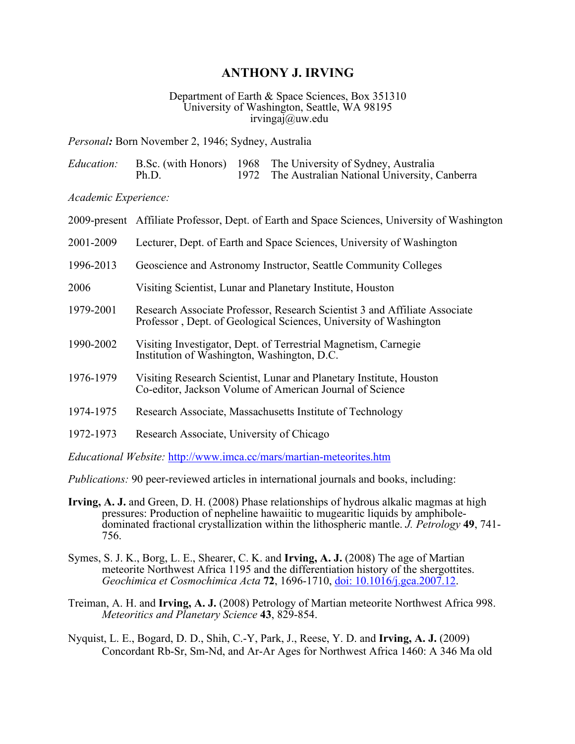## **ANTHONY J. IRVING**

## Department of Earth & Space Sciences, Box 351310 University of Washington, Seattle, WA 98195  $irvinga]$ *i* $@$ uw.edu

*Personal:* Born November 2, 1946; Sydney, Australia

|       | <i>Education:</i> B.Sc. (with Honors) 1968 The University of Sydney, Australia |
|-------|--------------------------------------------------------------------------------|
| Ph.D. | 1972 The Australian National University, Canberra                              |

*Academic Experience:*

|           | 2009-present Affiliate Professor, Dept. of Earth and Space Sciences, University of Washington                                                   |  |  |
|-----------|-------------------------------------------------------------------------------------------------------------------------------------------------|--|--|
| 2001-2009 | Lecturer, Dept. of Earth and Space Sciences, University of Washington                                                                           |  |  |
| 1996-2013 | Geoscience and Astronomy Instructor, Seattle Community Colleges                                                                                 |  |  |
| 2006      | Visiting Scientist, Lunar and Planetary Institute, Houston                                                                                      |  |  |
| 1979-2001 | Research Associate Professor, Research Scientist 3 and Affiliate Associate<br>Professor, Dept. of Geological Sciences, University of Washington |  |  |
| 1990-2002 | Visiting Investigator, Dept. of Terrestrial Magnetism, Carnegie<br>Institution of Washington, Washington, D.C.                                  |  |  |
| 1976-1979 | Visiting Research Scientist, Lunar and Planetary Institute, Houston<br>Co-editor, Jackson Volume of American Journal of Science                 |  |  |
| 1974-1975 | Research Associate, Massachusetts Institute of Technology                                                                                       |  |  |
| 1972-1973 | Research Associate, University of Chicago                                                                                                       |  |  |
|           |                                                                                                                                                 |  |  |

*Educational Website:* http://www.imca.cc/mars/martian-meteorites.htm

*Publications:* 90 peer-reviewed articles in international journals and books, including:

- **Irving, A. J.** and Green, D. H. (2008) Phase relationships of hydrous alkalic magmas at high pressures: Production of nepheline hawaiitic to mugearitic liquids by amphiboledominated fractional crystallization within the lithospheric mantle. *J. Petrology* **49**, 741- 756.
- Symes, S. J. K., Borg, L. E., Shearer, C. K. and **Irving, A. J.** (2008) The age of Martian meteorite Northwest Africa 1195 and the differentiation history of the shergottites. *Geochimica et Cosmochimica Acta* **72**, 1696-1710, doi: 10.1016/j.gca.2007.12.
- Treiman, A. H. and **Irving, A. J.** (2008) Petrology of Martian meteorite Northwest Africa 998. *Meteoritics and Planetary Science* **43**, 829-854.
- Nyquist, L. E., Bogard, D. D., Shih, C.-Y, Park, J., Reese, Y. D. and **Irving, A. J.** (2009) Concordant Rb-Sr, Sm-Nd, and Ar-Ar Ages for Northwest Africa 1460: A 346 Ma old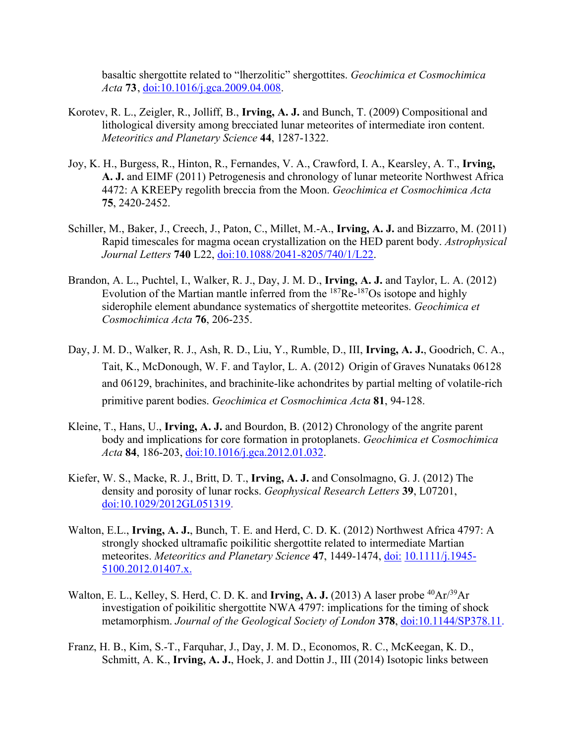basaltic shergottite related to "lherzolitic" shergottites. *Geochimica et Cosmochimica Acta* **73**, doi:10.1016/j.gca.2009.04.008.

- Korotev, R. L., Zeigler, R., Jolliff, B., **Irving, A. J.** and Bunch, T. (2009) Compositional and lithological diversity among brecciated lunar meteorites of intermediate iron content. *Meteoritics and Planetary Science* **44**, 1287-1322.
- Joy, K. H., Burgess, R., Hinton, R., Fernandes, V. A., Crawford, I. A., Kearsley, A. T., **Irving, A. J.** and EIMF (2011) Petrogenesis and chronology of lunar meteorite Northwest Africa 4472: A KREEPy regolith breccia from the Moon. *Geochimica et Cosmochimica Acta*  **75**, 2420-2452.
- Schiller, M., Baker, J., Creech, J., Paton, C., Millet, M.-A., **Irving, A. J.** and Bizzarro, M. (2011) Rapid timescales for magma ocean crystallization on the HED parent body. *Astrophysical Journal Letters* **740** L22, doi:10.1088/2041-8205/740/1/L22.
- Brandon, A. L., Puchtel, I., Walker, R. J., Day, J. M. D., **Irving, A. J.** and Taylor, L. A. (2012) Evolution of the Martian mantle inferred from the <sup>187</sup>Re-<sup>187</sup>Os isotope and highly siderophile element abundance systematics of shergottite meteorites. *Geochimica et Cosmochimica Acta* **76**, 206-235.
- Day, J. M. D., Walker, R. J., Ash, R. D., Liu, Y., Rumble, D., III, **Irving, A. J.**, Goodrich, C. A., Tait, K., McDonough, W. F. and Taylor, L. A. (2012) Origin of Graves Nunataks 06128 and 06129, brachinites, and brachinite-like achondrites by partial melting of volatile-rich primitive parent bodies. *Geochimica et Cosmochimica Acta* **81**, 94-128.
- Kleine, T., Hans, U., **Irving, A. J.** and Bourdon, B. (2012) Chronology of the angrite parent body and implications for core formation in protoplanets. *Geochimica et Cosmochimica Acta* **84**, 186-203, doi:10.1016/j.gca.2012.01.032.
- Kiefer, W. S., Macke, R. J., Britt, D. T., **Irving, A. J.** and Consolmagno, G. J. (2012) The density and porosity of lunar rocks. *Geophysical Research Letters* **39**, L07201, doi:10.1029/2012GL051319.
- Walton, E.L., **Irving, A. J.**, Bunch, T. E. and Herd, C. D. K. (2012) Northwest Africa 4797: A strongly shocked ultramafic poikilitic shergottite related to intermediate Martian meteorites. *Meteoritics and Planetary Science* **47**, 1449-1474, doi: 10.1111/j.1945- 5100.2012.01407.x.
- Walton, E. L., Kelley, S. Herd, C. D. K. and **Irving, A. J.** (2013) A laser probe <sup>40</sup>Ar<sup>/39</sup>Ar investigation of poikilitic shergottite NWA 4797: implications for the timing of shock metamorphism. *Journal of the Geological Society of London* **378**, doi:10.1144/SP378.11.
- Franz, H. B., Kim, S.-T., Farquhar, J., Day, J. M. D., Economos, R. C., McKeegan, K. D., Schmitt, A. K., **Irving, A. J.**, Hoek, J. and Dottin J., III (2014) Isotopic links between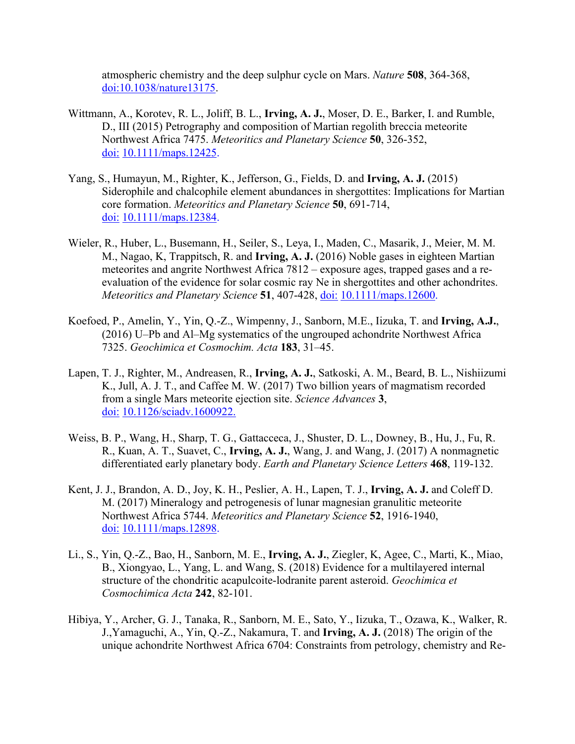atmospheric chemistry and the deep sulphur cycle on Mars. *Nature* **508**, 364-368, doi:10.1038/nature13175.

- Wittmann, A., Korotev, R. L., Joliff, B. L., **Irving, A. J.**, Moser, D. E., Barker, I. and Rumble, D., III (2015) Petrography and composition of Martian regolith breccia meteorite Northwest Africa 7475. *Meteoritics and Planetary Science* **50**, 326-352, doi: 10.1111/maps.12425.
- Yang, S., Humayun, M., Righter, K., Jefferson, G., Fields, D. and **Irving, A. J.** (2015) Siderophile and chalcophile element abundances in shergottites: Implications for Martian core formation. *Meteoritics and Planetary Science* **50**, 691-714, doi: 10.1111/maps.12384.
- Wieler, R., Huber, L., Busemann, H., Seiler, S., Leya, I., Maden, C., Masarik, J., Meier, M. M. M., Nagao, K, Trappitsch, R. and **Irving, A. J.** (2016) Noble gases in eighteen Martian meteorites and angrite Northwest Africa 7812 – exposure ages, trapped gases and a reevaluation of the evidence for solar cosmic ray Ne in shergottites and other achondrites. *Meteoritics and Planetary Science* **51**, 407-428, doi: 10.1111/maps.12600.
- Koefoed, P., Amelin, Y., Yin, Q.-Z., Wimpenny, J., Sanborn, M.E., Iizuka, T. and **Irving, A.J.**, (2016) U–Pb and Al–Mg systematics of the ungrouped achondrite Northwest Africa 7325. *Geochimica et Cosmochim. Acta* **183**, 31–45.
- Lapen, T. J., Righter, M., Andreasen, R., **Irving, A. J.**, Satkoski, A. M., Beard, B. L., Nishiizumi K., Jull, A. J. T., and Caffee M. W. (2017) Two billion years of magmatism recorded from a single Mars meteorite ejection site. *Science Advances* **3**, doi: 10.1126/sciadv.1600922.
- Weiss, B. P., Wang, H., Sharp, T. G., Gattacceca, J., Shuster, D. L., Downey, B., Hu, J., Fu, R. R., Kuan, A. T., Suavet, C., **Irving, A. J.**, Wang, J. and Wang, J. (2017) A nonmagnetic differentiated early planetary body. *Earth and Planetary Science Letters* **468**, 119-132.
- Kent, J. J., Brandon, A. D., Joy, K. H., Peslier, A. H., Lapen, T. J., **Irving, A. J.** and Coleff D. M. (2017) Mineralogy and petrogenesis of lunar magnesian granulitic meteorite Northwest Africa 5744. *Meteoritics and Planetary Science* **52**, 1916-1940, doi: 10.1111/maps.12898.
- Li., S., Yin, Q.-Z., Bao, H., Sanborn, M. E., **Irving, A. J.**, Ziegler, K, Agee, C., Marti, K., Miao, B., Xiongyao, L., Yang, L. and Wang, S. (2018) Evidence for a multilayered internal structure of the chondritic acapulcoite-lodranite parent asteroid. *Geochimica et Cosmochimica Acta* **242**, 82-101.
- Hibiya, Y., Archer, G. J., Tanaka, R., Sanborn, M. E., Sato, Y., Iizuka, T., Ozawa, K., Walker, R. J.,Yamaguchi, A., Yin, Q.-Z., Nakamura, T. and **Irving, A. J.** (2018) The origin of the unique achondrite Northwest Africa 6704: Constraints from petrology, chemistry and Re-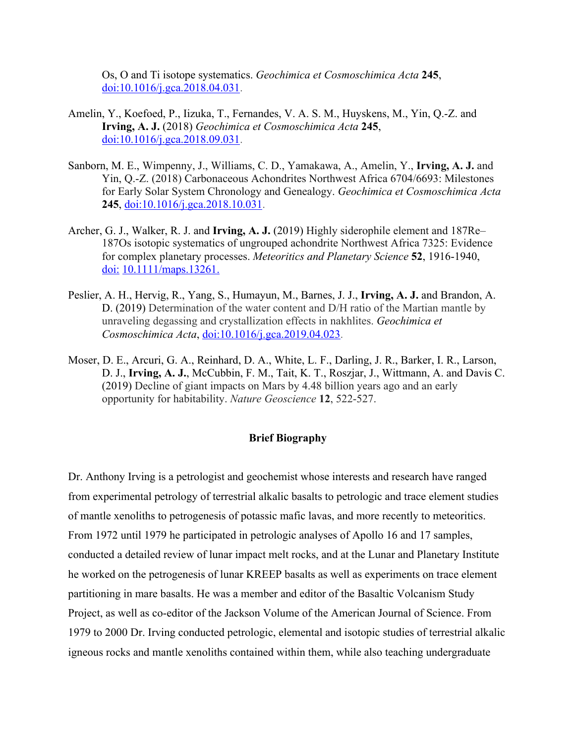Os, O and Ti isotope systematics. *Geochimica et Cosmoschimica Acta* **245**, doi:10.1016/j.gca.2018.04.031.

- Amelin, Y., Koefoed, P., Iizuka, T., Fernandes, V. A. S. M., Huyskens, M., Yin, Q.-Z. and **Irving, A. J.** (2018) *Geochimica et Cosmoschimica Acta* **245**, doi:10.1016/j.gca.2018.09.031.
- Sanborn, M. E., Wimpenny, J., Williams, C. D., Yamakawa, A., Amelin, Y., **Irving, A. J.** and Yin, Q.-Z. (2018) Carbonaceous Achondrites Northwest Africa 6704/6693: Milestones for Early Solar System Chronology and Genealogy. *Geochimica et Cosmoschimica Acta* **245**, doi:10.1016/j.gca.2018.10.031.
- Archer, G. J., Walker, R. J. and **Irving, A. J.** (2019) Highly siderophile element and 187Re– 187Os isotopic systematics of ungrouped achondrite Northwest Africa 7325: Evidence for complex planetary processes. *Meteoritics and Planetary Science* **52**, 1916-1940, doi: 10.1111/maps.13261.
- Peslier, A. H., Hervig, R., Yang, S., Humayun, M., Barnes, J. J., **Irving, A. J.** and Brandon, A. D. (2019) Determination of the water content and D/H ratio of the Martian mantle by unraveling degassing and crystallization effects in nakhlites. *Geochimica et Cosmoschimica Acta*, doi:10.1016/j.gca.2019.04.023.
- Moser, D. E., Arcuri, G. A., Reinhard, D. A., White, L. F., Darling, J. R., Barker, I. R., Larson, D. J., **Irving, A. J.**, McCubbin, F. M., Tait, K. T., Roszjar, J., Wittmann, A. and Davis C. (2019) Decline of giant impacts on Mars by 4.48 billion years ago and an early opportunity for habitability. *Nature Geoscience* **12**, 522-527.

## **Brief Biography**

Dr. Anthony Irving is a petrologist and geochemist whose interests and research have ranged from experimental petrology of terrestrial alkalic basalts to petrologic and trace element studies of mantle xenoliths to petrogenesis of potassic mafic lavas, and more recently to meteoritics. From 1972 until 1979 he participated in petrologic analyses of Apollo 16 and 17 samples, conducted a detailed review of lunar impact melt rocks, and at the Lunar and Planetary Institute he worked on the petrogenesis of lunar KREEP basalts as well as experiments on trace element partitioning in mare basalts. He was a member and editor of the Basaltic Volcanism Study Project, as well as co-editor of the Jackson Volume of the American Journal of Science. From 1979 to 2000 Dr. Irving conducted petrologic, elemental and isotopic studies of terrestrial alkalic igneous rocks and mantle xenoliths contained within them, while also teaching undergraduate